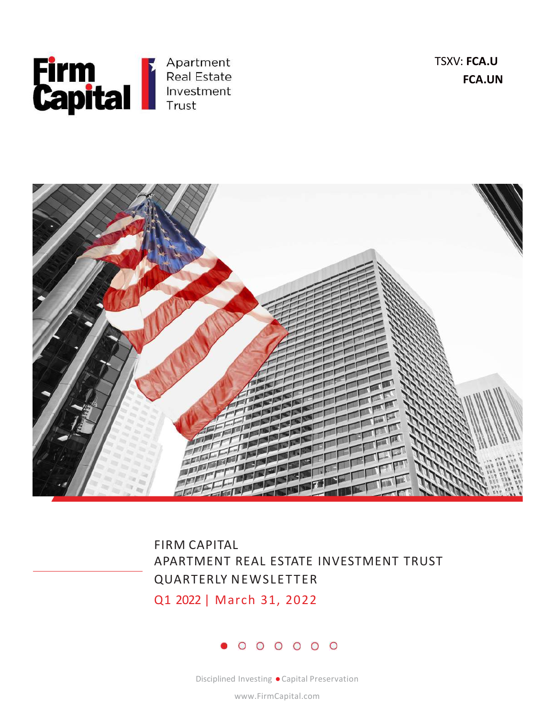

TSXV: FCA.U FCA.UN





www.FirmCapital.com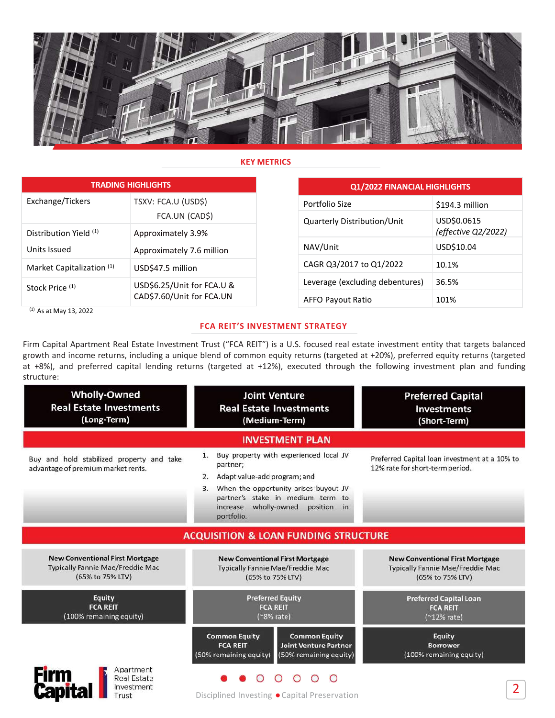

|                                                                                                                                                                                                                                                                                                                                                                                                                              |                            | <b>KEY METRICS</b> |                                                                         |                                 |                                                                |
|------------------------------------------------------------------------------------------------------------------------------------------------------------------------------------------------------------------------------------------------------------------------------------------------------------------------------------------------------------------------------------------------------------------------------|----------------------------|--------------------|-------------------------------------------------------------------------|---------------------------------|----------------------------------------------------------------|
|                                                                                                                                                                                                                                                                                                                                                                                                                              | <b>TRADING HIGHLIGHTS</b>  |                    |                                                                         | Q1/2022 FINANCIAL HIGHLIGHTS    |                                                                |
| Exchange/Tickers                                                                                                                                                                                                                                                                                                                                                                                                             | TSXV: FCA.U (USD\$)        |                    | Portfolio Size                                                          |                                 | \$194.3 million                                                |
|                                                                                                                                                                                                                                                                                                                                                                                                                              | FCA.UN (CAD\$)             |                    | Quarterly Distribution/Unit                                             |                                 | USD\$0.0615                                                    |
| Distribution Yield (1)                                                                                                                                                                                                                                                                                                                                                                                                       | Approximately 3.9%         |                    |                                                                         |                                 | (effective Q2/2022)                                            |
| Units Issued                                                                                                                                                                                                                                                                                                                                                                                                                 | Approximately 7.6 million  |                    | NAV/Unit                                                                |                                 | USD\$10.04                                                     |
| Market Capitalization (1)                                                                                                                                                                                                                                                                                                                                                                                                    | USD\$47.5 million          |                    | CAGR Q3/2017 to Q1/2022                                                 |                                 | 10.1%                                                          |
| Stock Price (1)                                                                                                                                                                                                                                                                                                                                                                                                              | USD\$6.25/Unit for FCA.U & |                    |                                                                         | Leverage (excluding debentures) | 36.5%                                                          |
| CAD\$7.60/Unit for FCA.UN                                                                                                                                                                                                                                                                                                                                                                                                    |                            |                    | <b>AFFO Payout Ratio</b>                                                |                                 | 101%                                                           |
| $(1)$ As at May 13, 2022                                                                                                                                                                                                                                                                                                                                                                                                     |                            |                    | <b>FCA REIT'S INVESTMENT STRATEGY</b>                                   |                                 |                                                                |
| Firm Capital Apartment Real Estate Investment Trust ("FCA REIT") is a U.S. focused real estate investment entity that targets balanced<br>growth and income returns, including a unique blend of common equity returns (targeted at +20%), preferred equity returns (targeted<br>at +8%), and preferred capital lending returns (targeted at +12%), executed through the following investment plan and funding<br>structure: |                            |                    |                                                                         |                                 |                                                                |
| <b>Wholly-Owned</b><br><b>Real Estate Investments</b><br>(Long-Term)                                                                                                                                                                                                                                                                                                                                                         |                            |                    | <b>Joint Venture</b><br><b>Real Estate Investments</b><br>(Medium-Term) |                                 | <b>Preferred Capital</b><br><b>Investments</b><br>(Short-Term) |

# Q1/2022 FINANCIAL HIGHLIGHTS

| Portfolio Size                  | \$194.3 million                    |
|---------------------------------|------------------------------------|
| Quarterly Distribution/Unit     | USD\$0.0615<br>(effective Q2/2022) |
| NAV/Unit                        | USD\$10.04                         |
| CAGR Q3/2017 to Q1/2022         | 10.1%                              |
| Leverage (excluding debentures) | 36.5%                              |
| AFFO Payout Ratio               | 101%                               |

# FCA REIT'S INVESTMENT STRATEGY

| <b>Wholly-Owned</b><br><b>Real Estate Investments</b><br>(Long-Term)                                  | <b>Joint Venture</b><br><b>Real Estate Investments</b><br>(Medium-Term)                                                                                                                                                                     | <b>Preferred Capital</b><br><b>Investments</b><br>(Short-Term)                                        |
|-------------------------------------------------------------------------------------------------------|---------------------------------------------------------------------------------------------------------------------------------------------------------------------------------------------------------------------------------------------|-------------------------------------------------------------------------------------------------------|
|                                                                                                       | <b>INVESTMENT PLAN</b>                                                                                                                                                                                                                      |                                                                                                       |
| Buy and hold stabilized property and take<br>advantage of premium market rents.                       | Buy property with experienced local JV<br>1.<br>partner;<br>Adapt value-add program; and<br>2.<br>3. When the opportunity arises buyout JV<br>partner's stake in medium term to<br>wholly-owned<br>increase<br>position<br>in<br>portfolio. | Preferred Capital loan investment at a 10% to<br>12% rate for short-term period.                      |
|                                                                                                       | <b>ACQUISITION &amp; LOAN FUNDING STRUCTURE</b>                                                                                                                                                                                             |                                                                                                       |
| <b>New Conventional First Mortgage</b><br><b>Typically Fannie Mae/Freddie Mac</b><br>(65% to 75% LTV) | <b>New Conventional First Mortgage</b><br><b>Typically Fannie Mae/Freddie Mac</b><br>(65% to 75% LTV)                                                                                                                                       | <b>New Conventional First Mortgage</b><br><b>Typically Fannie Mae/Freddie Mac</b><br>(65% to 75% LTV) |
| Equity<br><b>FCA REIT</b><br>(100% remaining equity)                                                  | <b>Preferred Equity</b><br><b>FCA REIT</b><br>$(*8% rate)$                                                                                                                                                                                  | <b>Preferred Capital Loan</b><br><b>FCA REIT</b><br>$(^{212\%}$ rate)                                 |
|                                                                                                       | <b>Common Equity</b><br><b>Common Equity</b><br><b>FCA REIT</b><br><b>Joint Venture Partner</b><br>(50% remaining equity)<br>(50% remaining equity)                                                                                         | Equity<br><b>Borrower</b><br>(100% remaining equity)                                                  |
| Apartment<br><b>Real Estate</b><br>Investment<br>Trust                                                | $\bigcirc$<br>Disciplined Investing . Capital Preservation                                                                                                                                                                                  | $\overline{2}$                                                                                        |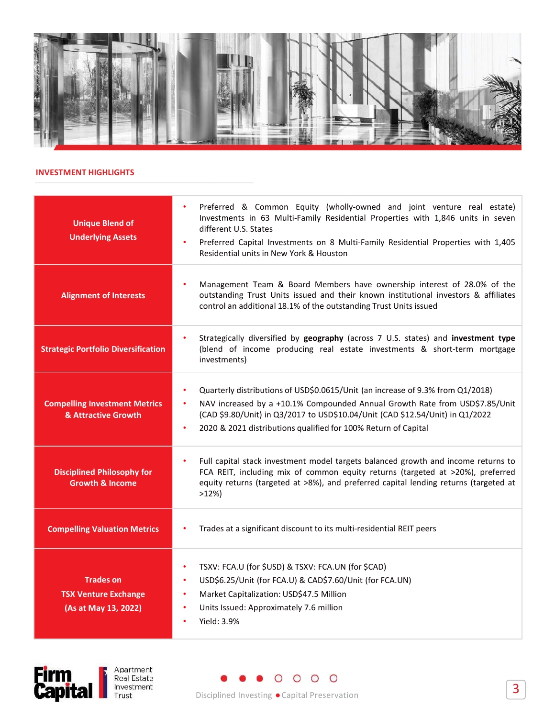

| Preferred & Common Equity (wholly-owned and joint venture real estate)<br>$\bullet$<br>Investments in 63 Multi-Family Residential Properties with 1,846 units in seven<br><b>Unique Blend of</b><br>different U.S. States<br><b>Underlying Assets</b><br>Preferred Capital Investments on 8 Multi-Family Residential Properties with 1,405<br>٠<br>Residential units in New York & Houston<br>Management Team & Board Members have ownership interest of 28.0% of the<br>outstanding Trust Units issued and their known institutional investors & affiliates<br><b>Alignment of Interests</b><br>control an additional 18.1% of the outstanding Trust Units issued<br>Strategically diversified by geography (across 7 U.S. states) and investment type<br>(blend of income producing real estate investments & short-term mortgage<br><b>Strategic Portfolio Diversification</b><br>investments)<br>Quarterly distributions of USD\$0.0615/Unit (an increase of 9.3% from Q1/2018)<br>$\bullet$<br>NAV increased by a +10.1% Compounded Annual Growth Rate from USD\$7.85/Unit<br><b>Compelling Investment Metrics</b><br>$\bullet$<br>(CAD \$9.80/Unit) in Q3/2017 to USD\$10.04/Unit (CAD \$12.54/Unit) in Q1/2022<br>& Attractive Growth<br>2020 & 2021 distributions qualified for 100% Return of Capital<br>$\bullet$<br>Full capital stack investment model targets balanced growth and income returns to<br><b>Disciplined Philosophy for</b><br>FCA REIT, including mix of common equity returns (targeted at >20%), preferred<br>equity returns (targeted at >8%), and preferred capital lending returns (targeted at<br><b>Growth &amp; Income</b><br>$>12\%)$<br><b>Compelling Valuation Metrics</b><br>Trades at a significant discount to its multi-residential REIT peers<br>٠<br>TSXV: FCA.U (for \$USD) & TSXV: FCA.UN (for \$CAD)<br>$\bullet$<br><b>Trades on</b><br>USD\$6.25/Unit (for FCA.U) & CAD\$7.60/Unit (for FCA.UN)<br>$\bullet$<br><b>TSX Venture Exchange</b><br>Market Capitalization: USD\$47.5 Million<br>٠<br>Units Issued: Approximately 7.6 million<br>(As at May 13, 2022)<br>$\bullet$<br>Yield: 3.9%<br>$\bullet$<br>Apartment |                                             |                      |
|------------------------------------------------------------------------------------------------------------------------------------------------------------------------------------------------------------------------------------------------------------------------------------------------------------------------------------------------------------------------------------------------------------------------------------------------------------------------------------------------------------------------------------------------------------------------------------------------------------------------------------------------------------------------------------------------------------------------------------------------------------------------------------------------------------------------------------------------------------------------------------------------------------------------------------------------------------------------------------------------------------------------------------------------------------------------------------------------------------------------------------------------------------------------------------------------------------------------------------------------------------------------------------------------------------------------------------------------------------------------------------------------------------------------------------------------------------------------------------------------------------------------------------------------------------------------------------------------------------------------------------------------------------------------------------------------------------------------------------------------------------------------------------------------------------------------------------------------------------------------------------------------------------------------------------------------------------------------------------------------------------------------------------------------------------------------------------------------------------------------------------------------------------------------|---------------------------------------------|----------------------|
|                                                                                                                                                                                                                                                                                                                                                                                                                                                                                                                                                                                                                                                                                                                                                                                                                                                                                                                                                                                                                                                                                                                                                                                                                                                                                                                                                                                                                                                                                                                                                                                                                                                                                                                                                                                                                                                                                                                                                                                                                                                                                                                                                                        | <b>INVESTMENT HIGHLIGHTS</b>                |                      |
|                                                                                                                                                                                                                                                                                                                                                                                                                                                                                                                                                                                                                                                                                                                                                                                                                                                                                                                                                                                                                                                                                                                                                                                                                                                                                                                                                                                                                                                                                                                                                                                                                                                                                                                                                                                                                                                                                                                                                                                                                                                                                                                                                                        |                                             |                      |
|                                                                                                                                                                                                                                                                                                                                                                                                                                                                                                                                                                                                                                                                                                                                                                                                                                                                                                                                                                                                                                                                                                                                                                                                                                                                                                                                                                                                                                                                                                                                                                                                                                                                                                                                                                                                                                                                                                                                                                                                                                                                                                                                                                        |                                             |                      |
|                                                                                                                                                                                                                                                                                                                                                                                                                                                                                                                                                                                                                                                                                                                                                                                                                                                                                                                                                                                                                                                                                                                                                                                                                                                                                                                                                                                                                                                                                                                                                                                                                                                                                                                                                                                                                                                                                                                                                                                                                                                                                                                                                                        |                                             |                      |
|                                                                                                                                                                                                                                                                                                                                                                                                                                                                                                                                                                                                                                                                                                                                                                                                                                                                                                                                                                                                                                                                                                                                                                                                                                                                                                                                                                                                                                                                                                                                                                                                                                                                                                                                                                                                                                                                                                                                                                                                                                                                                                                                                                        |                                             |                      |
|                                                                                                                                                                                                                                                                                                                                                                                                                                                                                                                                                                                                                                                                                                                                                                                                                                                                                                                                                                                                                                                                                                                                                                                                                                                                                                                                                                                                                                                                                                                                                                                                                                                                                                                                                                                                                                                                                                                                                                                                                                                                                                                                                                        |                                             |                      |
|                                                                                                                                                                                                                                                                                                                                                                                                                                                                                                                                                                                                                                                                                                                                                                                                                                                                                                                                                                                                                                                                                                                                                                                                                                                                                                                                                                                                                                                                                                                                                                                                                                                                                                                                                                                                                                                                                                                                                                                                                                                                                                                                                                        |                                             |                      |
|                                                                                                                                                                                                                                                                                                                                                                                                                                                                                                                                                                                                                                                                                                                                                                                                                                                                                                                                                                                                                                                                                                                                                                                                                                                                                                                                                                                                                                                                                                                                                                                                                                                                                                                                                                                                                                                                                                                                                                                                                                                                                                                                                                        |                                             |                      |
| $\overline{3}$<br>Investment<br>Disciplined Investing . Capital Preservation<br>Trust                                                                                                                                                                                                                                                                                                                                                                                                                                                                                                                                                                                                                                                                                                                                                                                                                                                                                                                                                                                                                                                                                                                                                                                                                                                                                                                                                                                                                                                                                                                                                                                                                                                                                                                                                                                                                                                                                                                                                                                                                                                                                  | <b>Firm</b><br><b>Real Estate</b><br>Capita | $\circ$ $\circ$<br>O |

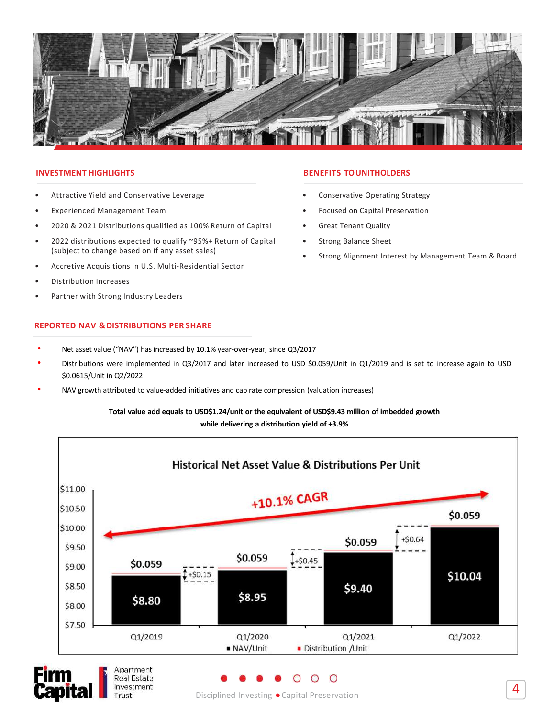

- 
- 
- 
- (subject to change based on if any asset sales)
- 
- 
- 

Trust

- 
- EXERT HIGHLIGHTS<br>
Fractive Yield and Conservative Leverage<br>
198.2021 Distributions qualified as 100% Return of Capital<br>
198.2021 Distributions expected to qualify "95%+ Return of Capital<br>
198.22 distributions expected to q **ENEFITS TOUNITHOLDERS**<br>
• Conservative Conservative Seperienced Management Team<br>
• Conservative Operating Strategy<br>
• Excused on Capital<br>
• 2020 & 2020 alteributions repeated to qualify ~95%+ Return of Capital<br>
• Corres
- 

## Total value add equals to USD\$1.24/unit or the equivalent of USD\$9.43 million of imbedded growth while delivering a distribution yield of +3.9%

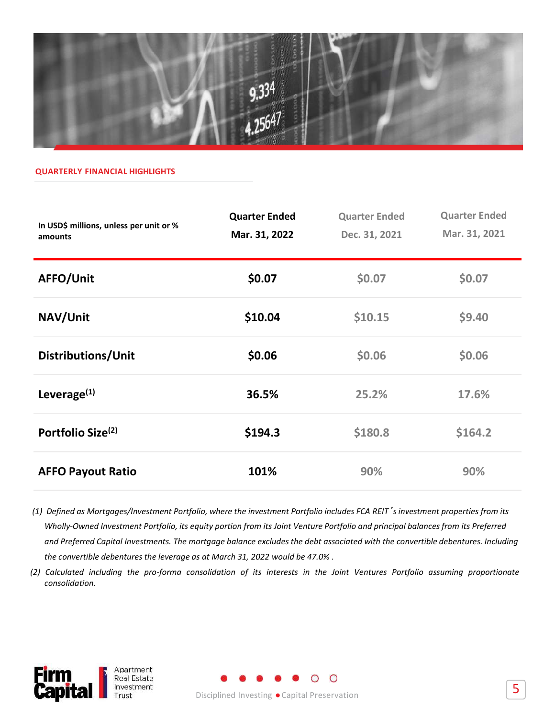

|                                                                                                                                                                                                                                                                                                                                                                                                                                                                                                                                                                                                                                           | <b>9.334</b>                          |                                       |                                       |
|-------------------------------------------------------------------------------------------------------------------------------------------------------------------------------------------------------------------------------------------------------------------------------------------------------------------------------------------------------------------------------------------------------------------------------------------------------------------------------------------------------------------------------------------------------------------------------------------------------------------------------------------|---------------------------------------|---------------------------------------|---------------------------------------|
| <b>QUARTERLY FINANCIAL HIGHLIGHTS</b>                                                                                                                                                                                                                                                                                                                                                                                                                                                                                                                                                                                                     | 12564/                                |                                       |                                       |
| In USD\$ millions, unless per unit or %<br>amounts                                                                                                                                                                                                                                                                                                                                                                                                                                                                                                                                                                                        | <b>Quarter Ended</b><br>Mar. 31, 2022 | <b>Quarter Ended</b><br>Dec. 31, 2021 | <b>Quarter Ended</b><br>Mar. 31, 2021 |
| AFFO/Unit                                                                                                                                                                                                                                                                                                                                                                                                                                                                                                                                                                                                                                 | \$0.07                                | \$0.07                                | \$0.07                                |
| NAV/Unit                                                                                                                                                                                                                                                                                                                                                                                                                                                                                                                                                                                                                                  | \$10.04                               | \$10.15                               | \$9.40                                |
| Distributions/Unit                                                                                                                                                                                                                                                                                                                                                                                                                                                                                                                                                                                                                        | \$0.06                                | \$0.06                                | \$0.06                                |
| Leverage <sup>(1)</sup>                                                                                                                                                                                                                                                                                                                                                                                                                                                                                                                                                                                                                   | 36.5%                                 | 25.2%                                 | 17.6%                                 |
| Portfolio Size <sup>(2)</sup>                                                                                                                                                                                                                                                                                                                                                                                                                                                                                                                                                                                                             | \$194.3                               | \$180.8                               | \$164.2                               |
| <b>AFFO Payout Ratio</b>                                                                                                                                                                                                                                                                                                                                                                                                                                                                                                                                                                                                                  | 101%                                  | 90%                                   | 90%                                   |
| (1) Defined as Mortgages/Investment Portfolio, where the investment Portfolio includes FCA REIT's investment properties from its<br>Wholly-Owned Investment Portfolio, its equity portion from its Joint Venture Portfolio and principal balances from its Preferred<br>and Preferred Capital Investments. The mortgage balance excludes the debt associated with the convertible debentures. Including<br>the convertible debentures the leverage as at March 31, 2022 would be 47.0%.<br>(2) Calculated including the pro-forma consolidation of its interests in the Joint Ventures Portfolio assuming proportionate<br>consolidation. |                                       |                                       |                                       |

Disciplined Investing ●Capital Preservation



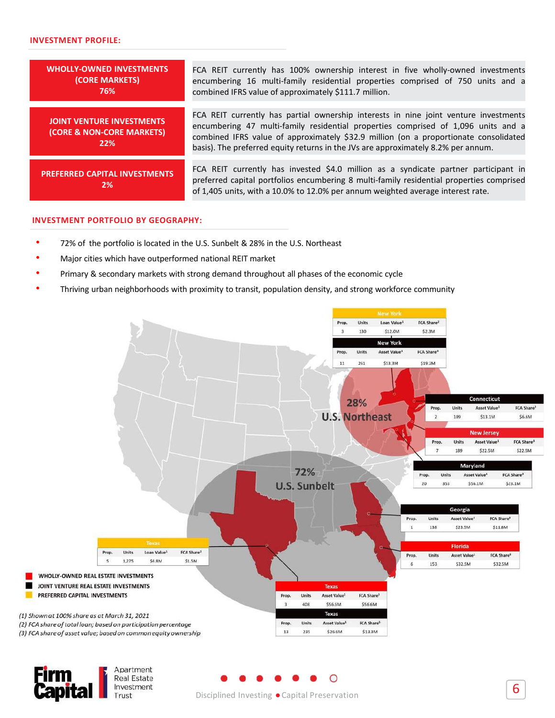### INVESTMENT PROFILE:

| <b>INVESTMENT PROFILE:</b>                                           |                                                                                                                                                                                                                                                                                                                                                        |
|----------------------------------------------------------------------|--------------------------------------------------------------------------------------------------------------------------------------------------------------------------------------------------------------------------------------------------------------------------------------------------------------------------------------------------------|
|                                                                      |                                                                                                                                                                                                                                                                                                                                                        |
| <b>WHOLLY-OWNED INVESTMENTS</b><br>(CORE MARKETS)<br>76%             | FCA REIT currently has 100% ownership interest in five wholly-owned investments<br>encumbering 16 multi-family residential properties comprised of 750 units and a<br>combined IFRS value of approximately \$111.7 million.                                                                                                                            |
| <b>JOINT VENTURE INVESTMENTS</b><br>(CORE & NON-CORE MARKETS)<br>22% | FCA REIT currently has partial ownership interests in nine joint venture investments<br>encumbering 47 multi-family residential properties comprised of 1,096 units and a<br>combined IFRS value of approximately \$32.9 million (on a proportionate consolidated<br>basis). The preferred equity returns in the JVs are approximately 8.2% per annum. |
| <b>PREFERRED CAPITAL INVESTMENTS</b><br>2%                           | FCA REIT currently has invested \$4.0 million as a syndicate partner participant in<br>preferred capital portfolios encumbering 8 multi-family residential properties comprised<br>of 1,405 units, with a 10.0% to 12.0% per annum weighted average interest rate.                                                                                     |
| <b>INVESTMENT PORTFOLIO BY GEOGRAPHY:</b>                            |                                                                                                                                                                                                                                                                                                                                                        |
|                                                                      | 72% of the portfolio is located in the U.S. Sunbelt & 28% in the U.S. Northeast                                                                                                                                                                                                                                                                        |
| Major cities which have outperformed national REIT market            |                                                                                                                                                                                                                                                                                                                                                        |
|                                                                      | Primary & secondary markets with strong demand throughout all phases of the economic cycle                                                                                                                                                                                                                                                             |
|                                                                      | Thriving urban neighborhoods with proximity to transit, population density, and strong workforce community                                                                                                                                                                                                                                             |
|                                                                      | <b>New York</b>                                                                                                                                                                                                                                                                                                                                        |
|                                                                      | FCA Share <sup>2</sup><br>Units<br>Loan Value1<br>\$12.0M<br>\$2.3M<br>130<br><b>New York</b><br>Asset Value <sup>1</sup><br>FCA Share <sup>3</sup><br><b>Units</b>                                                                                                                                                                                    |

### INVESTMENT PORTFOLIO BY GEOGRAPHY:

- 
- 
- 
-